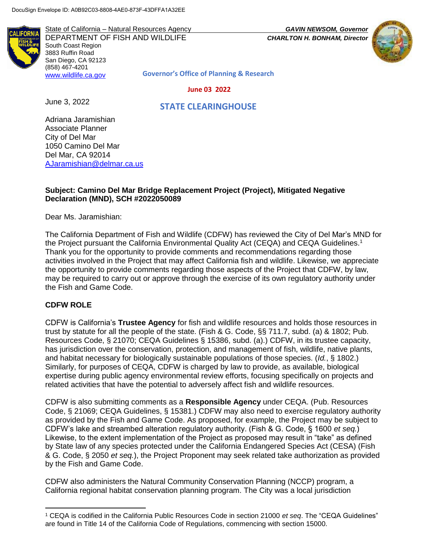State of California – Natural Resources Agency *GAVIN NEWSOM, Governor* DEPARTMENT OF FISH AND WILDLIFE *CHARLTON H. BONHAM, Director*  South Coast Region 3883 Ruffin Road San Diego, CA 92123 (858) 467-4201



**Governor's Office of Planning & Research**

#### **June 03 2022**

June 3, 2022

[www.wildlife.ca.gov](http://www.wildlife.ca.gov/)

 **STATE CLEARINGHOUSE**

Adriana Jaramishian Associate Planner City of Del Mar 1050 Camino Del Mar Del Mar, CA 92014 [AJaramishian@delmar.ca.us](mailto:AJaramishian@delmar.ca.us)

#### **Subject: Camino Del Mar Bridge Replacement Project (Project), Mitigated Negative Declaration (MND), SCH #2022050089**

Dear Ms. Jaramishian:

The California Department of Fish and Wildlife (CDFW) has reviewed the City of Del Mar's MND for the Project pursuant the California Environmental Quality Act (CEQA) and CEQA Guidelines.<sup>1</sup> Thank you for the opportunity to provide comments and recommendations regarding those activities involved in the Project that may affect California fish and wildlife. Likewise, we appreciate the opportunity to provide comments regarding those aspects of the Project that CDFW, by law, may be required to carry out or approve through the exercise of its own regulatory authority under the Fish and Game Code.

#### **CDFW ROLE**

l

CDFW is California's **Trustee Agency** for fish and wildlife resources and holds those resources in trust by statute for all the people of the state. (Fish & G. Code, §§ 711.7, subd. (a) & 1802; Pub. Resources Code, § 21070; CEQA Guidelines § 15386, subd. (a).) CDFW, in its trustee capacity, has jurisdiction over the conservation, protection, and management of fish, wildlife, native plants, and habitat necessary for biologically sustainable populations of those species. (*Id.*, § 1802.) Similarly, for purposes of CEQA, CDFW is charged by law to provide, as available, biological expertise during public agency environmental review efforts, focusing specifically on projects and related activities that have the potential to adversely affect fish and wildlife resources.

CDFW is also submitting comments as a **Responsible Agency** under CEQA. (Pub. Resources Code, § 21069; CEQA Guidelines, § 15381.) CDFW may also need to exercise regulatory authority as provided by the Fish and Game Code. As proposed, for example, the Project may be subject to CDFW's lake and streambed alteration regulatory authority. (Fish & G. Code, § 1600 *et seq.*) Likewise, to the extent implementation of the Project as proposed may result in "take" as defined by State law of any species protected under the California Endangered Species Act (CESA) (Fish & G. Code, § 2050 *et seq.*), the Project Proponent may seek related take authorization as provided by the Fish and Game Code.

CDFW also administers the Natural Community Conservation Planning (NCCP) program, a California regional habitat conservation planning program. The City was a local jurisdiction

<sup>1</sup> CEQA is codified in the California Public Resources Code in section 21000 *et seq*. The "CEQA Guidelines" are found in Title 14 of the California Code of Regulations, commencing with section 15000.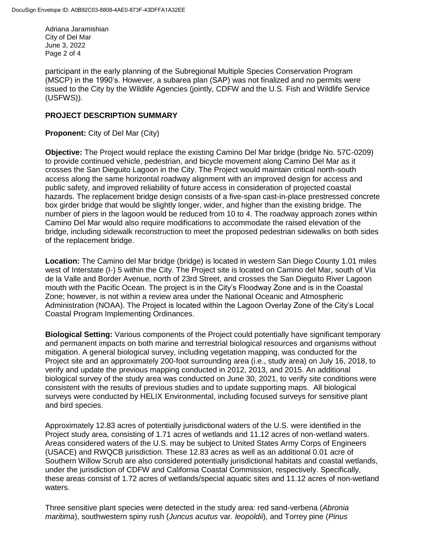Adriana Jaramishian City of Del Mar June 3, 2022 Page 2 of 4

participant in the early planning of the Subregional Multiple Species Conservation Program (MSCP) in the 1990's. However, a subarea plan (SAP) was not finalized and no permits were issued to the City by the Wildlife Agencies (jointly, CDFW and the U.S. Fish and Wildlife Service (USFWS)).

## **PROJECT DESCRIPTION SUMMARY**

**Proponent:** City of Del Mar (City)

**Objective:** The Project would replace the existing Camino Del Mar bridge (bridge No. 57C-0209) to provide continued vehicle, pedestrian, and bicycle movement along Camino Del Mar as it crosses the San Dieguito Lagoon in the City. The Project would maintain critical north-south access along the same horizontal roadway alignment with an improved design for access and public safety, and improved reliability of future access in consideration of projected coastal hazards. The replacement bridge design consists of a five-span cast-in-place prestressed concrete box girder bridge that would be slightly longer, wider, and higher than the existing bridge. The number of piers in the lagoon would be reduced from 10 to 4. The roadway approach zones within Camino Del Mar would also require modifications to accommodate the raised elevation of the bridge, including sidewalk reconstruction to meet the proposed pedestrian sidewalks on both sides of the replacement bridge.

**Location:** The Camino del Mar bridge (bridge) is located in western San Diego County 1.01 miles west of Interstate (I-) 5 within the City. The Project site is located on Camino del Mar, south of Via de la Valle and Border Avenue, north of 23rd Street, and crosses the San Dieguito River Lagoon mouth with the Pacific Ocean. The project is in the City's Floodway Zone and is in the Coastal Zone; however, is not within a review area under the National Oceanic and Atmospheric Administration (NOAA). The Project is located within the Lagoon Overlay Zone of the City's Local Coastal Program Implementing Ordinances.

**Biological Setting:** Various components of the Project could potentially have significant temporary and permanent impacts on both marine and terrestrial biological resources and organisms without mitigation. A general biological survey, including vegetation mapping, was conducted for the Project site and an approximately 200-foot surrounding area (i.e., study area) on July 16, 2018, to verify and update the previous mapping conducted in 2012, 2013, and 2015. An additional biological survey of the study area was conducted on June 30, 2021, to verify site conditions were consistent with the results of previous studies and to update supporting maps.All biological surveys were conducted by HELIX Environmental, including focused surveys for sensitive plant and bird species.

Approximately 12.83 acres of potentially jurisdictional waters of the U.S. were identified in the Project study area, consisting of 1.71 acres of wetlands and 11.12 acres of non-wetland waters. Areas considered waters of the U.S. may be subject to United States Army Corps of Engineers (USACE) and RWQCB jurisdiction. These 12.83 acres as well as an additional 0.01 acre of Southern Willow Scrub are also considered potentially jurisdictional habitats and coastal wetlands, under the jurisdiction of CDFW and California Coastal Commission, respectively. Specifically, these areas consist of 1.72 acres of wetlands/special aquatic sites and 11.12 acres of non-wetland waters.

Three sensitive plant species were detected in the study area: red sand-verbena (*Abronia maritima*), southwestern spiny rush (*Juncus acutus* var. *leopoldii*), and Torrey pine (*Pinus*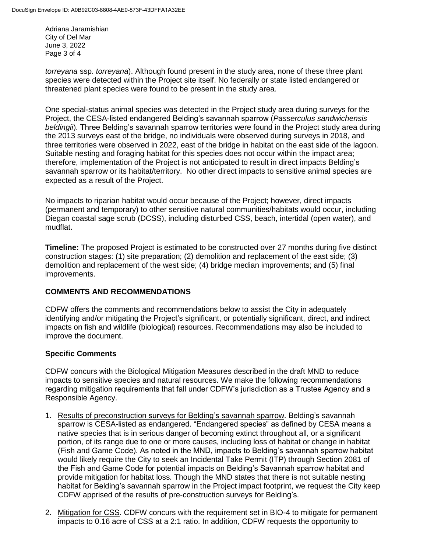Adriana Jaramishian City of Del Mar June 3, 2022 Page 3 of 4

*torreyana* ssp. *torreyana*). Although found present in the study area, none of these three plant species were detected within the Project site itself. No federally or state listed endangered or threatened plant species were found to be present in the study area.

One special-status animal species was detected in the Project study area during surveys for the Project, the CESA-listed endangered Belding's savannah sparrow (*Passerculus sandwichensis beldingii*). Three Belding's savannah sparrow territories were found in the Project study area during the 2013 surveys east of the bridge, no individuals were observed during surveys in 2018, and three territories were observed in 2022, east of the bridge in habitat on the east side of the lagoon. Suitable nesting and foraging habitat for this species does not occur within the impact area; therefore, implementation of the Project is not anticipated to result in direct impacts Belding's savannah sparrow or its habitat/territory. No other direct impacts to sensitive animal species are expected as a result of the Project.

No impacts to riparian habitat would occur because of the Project; however, direct impacts (permanent and temporary) to other sensitive natural communities/habitats would occur, including Diegan coastal sage scrub (DCSS), including disturbed CSS, beach, intertidal (open water), and mudflat.

**Timeline:** The proposed Project is estimated to be constructed over 27 months during five distinct construction stages: (1) site preparation; (2) demolition and replacement of the east side; (3) demolition and replacement of the west side; (4) bridge median improvements; and (5) final improvements.

### **COMMENTS AND RECOMMENDATIONS**

CDFW offers the comments and recommendations below to assist the City in adequately identifying and/or mitigating the Project's significant, or potentially significant, direct, and indirect impacts on fish and wildlife (biological) resources. Recommendations may also be included to improve the document.

### **Specific Comments**

CDFW concurs with the Biological Mitigation Measures described in the draft MND to reduce impacts to sensitive species and natural resources. We make the following recommendations regarding mitigation requirements that fall under CDFW's jurisdiction as a Trustee Agency and a Responsible Agency.

- 1. Results of preconstruction surveys for Belding's savannah sparrow. Belding's savannah sparrow is CESA-listed as endangered. "Endangered species" as defined by CESA means a native species that is in serious danger of becoming extinct throughout all, or a significant portion, of its range due to one or more causes, including loss of habitat or change in habitat (Fish and Game Code). As noted in the MND, impacts to Belding's savannah sparrow habitat would likely require the City to seek an Incidental Take Permit (ITP) through Section 2081 of the Fish and Game Code for potential impacts on Belding's Savannah sparrow habitat and provide mitigation for habitat loss. Though the MND states that there is not suitable nesting habitat for Belding's savannah sparrow in the Project impact footprint, we request the City keep CDFW apprised of the results of pre-construction surveys for Belding's.
- 2. Mitigation for CSS. CDFW concurs with the requirement set in BIO-4 to mitigate for permanent impacts to 0.16 acre of CSS at a 2:1 ratio. In addition, CDFW requests the opportunity to